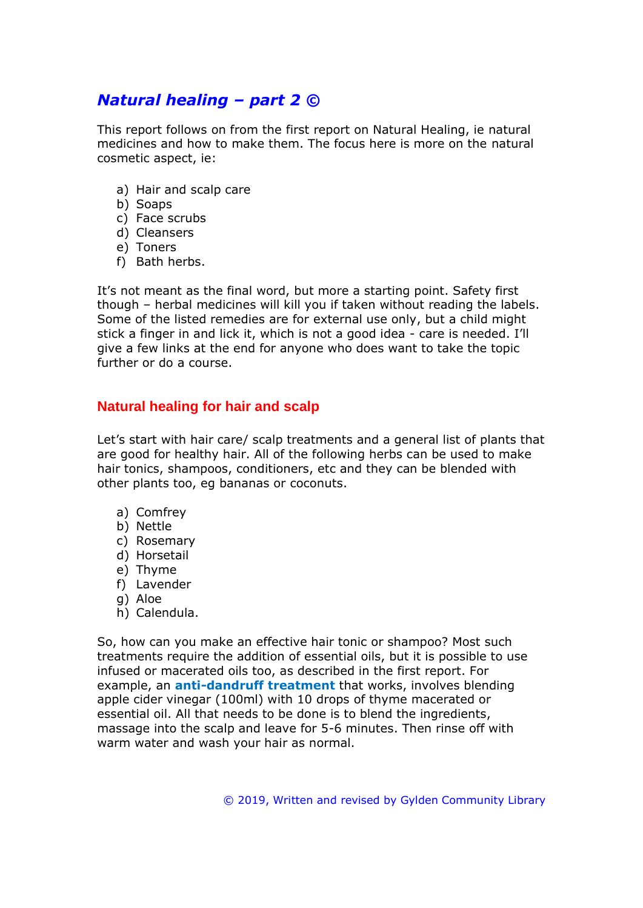# *Natural healing – part 2 ©*

This report follows on from the first report on Natural Healing, ie natural medicines and how to make them. The focus here is more on the natural cosmetic aspect, ie:

- a) Hair and scalp care
- b) Soaps
- c) Face scrubs
- d) Cleansers
- e) Toners
- f) Bath herbs.

It's not meant as the final word, but more a starting point. Safety first though – herbal medicines will kill you if taken without reading the labels. Some of the listed remedies are for external use only, but a child might stick a finger in and lick it, which is not a good idea - care is needed. I'll give a few links at the end for anyone who does want to take the topic further or do a course.

## **Natural healing for hair and scalp**

Let's start with hair care/ scalp treatments and a general list of plants that are good for healthy hair. All of the following herbs can be used to make hair tonics, shampoos, conditioners, etc and they can be blended with other plants too, eg bananas or coconuts.

- a) Comfrey
- b) Nettle
- c) Rosemary
- d) Horsetail
- e) Thyme
- f) Lavender
- g) Aloe
- h) Calendula.

So, how can you make an effective hair tonic or shampoo? Most such treatments require the addition of essential oils, but it is possible to use infused or macerated oils too, as described in the first report. For example, an **anti-dandruff treatment** that works, involves blending apple cider vinegar (100ml) with 10 drops of thyme macerated or essential oil. All that needs to be done is to blend the ingredients, massage into the scalp and leave for 5-6 minutes. Then rinse off with warm water and wash your hair as normal.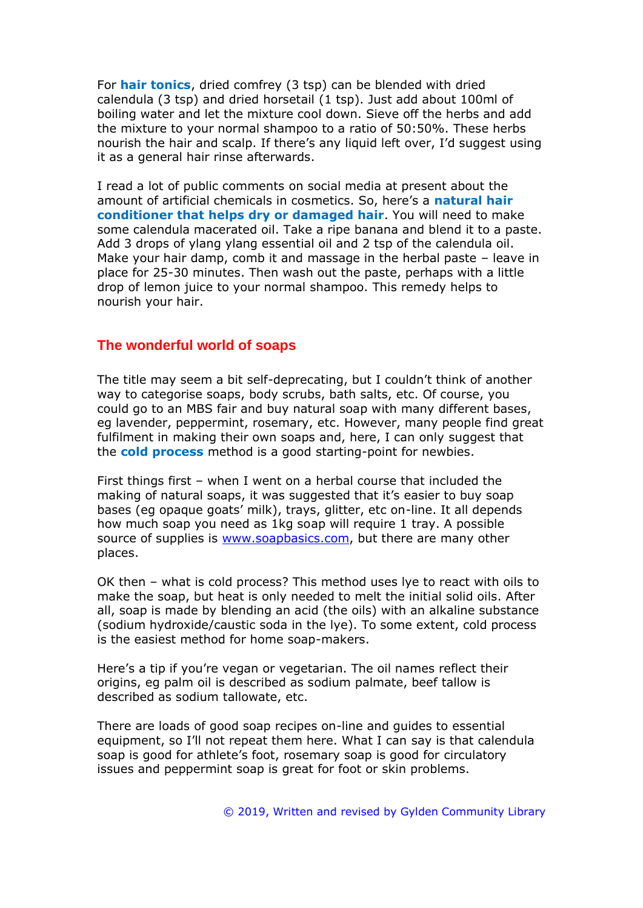For **hair tonics**, dried comfrey (3 tsp) can be blended with dried calendula (3 tsp) and dried horsetail (1 tsp). Just add about 100ml of boiling water and let the mixture cool down. Sieve off the herbs and add the mixture to your normal shampoo to a ratio of 50:50%. These herbs nourish the hair and scalp. If there's any liquid left over, I'd suggest using it as a general hair rinse afterwards.

I read a lot of public comments on social media at present about the amount of artificial chemicals in cosmetics. So, here's a **natural hair conditioner that helps dry or damaged hair**. You will need to make some calendula macerated oil. Take a ripe banana and blend it to a paste. Add 3 drops of ylang ylang essential oil and 2 tsp of the calendula oil. Make your hair damp, comb it and massage in the herbal paste – leave in place for 25-30 minutes. Then wash out the paste, perhaps with a little drop of lemon juice to your normal shampoo. This remedy helps to nourish your hair.

#### **The wonderful world of soaps**

The title may seem a bit self-deprecating, but I couldn't think of another way to categorise soaps, body scrubs, bath salts, etc. Of course, you could go to an MBS fair and buy natural soap with many different bases, eg lavender, peppermint, rosemary, etc. However, many people find great fulfilment in making their own soaps and, here, I can only suggest that the **cold process** method is a good starting-point for newbies.

First things first – when I went on a herbal course that included the making of natural soaps, it was suggested that it's easier to buy soap bases (eg opaque goats' milk), trays, glitter, etc on-line. It all depends how much soap you need as 1kg soap will require 1 tray. A possible source of supplies is [www.soapbasics.com,](http://www.soapbasics.com/) but there are many other places.

OK then – what is cold process? This method uses lye to react with oils to make the soap, but heat is only needed to melt the initial solid oils. After all, soap is made by blending an acid (the oils) with an alkaline substance (sodium hydroxide/caustic soda in the lye). To some extent, cold process is the easiest method for home soap-makers.

Here's a tip if you're vegan or vegetarian. The oil names reflect their origins, eg palm oil is described as sodium palmate, beef tallow is described as sodium tallowate, etc.

There are loads of good soap recipes on-line and guides to essential equipment, so I'll not repeat them here. What I can say is that calendula soap is good for athlete's foot, rosemary soap is good for circulatory issues and peppermint soap is great for foot or skin problems.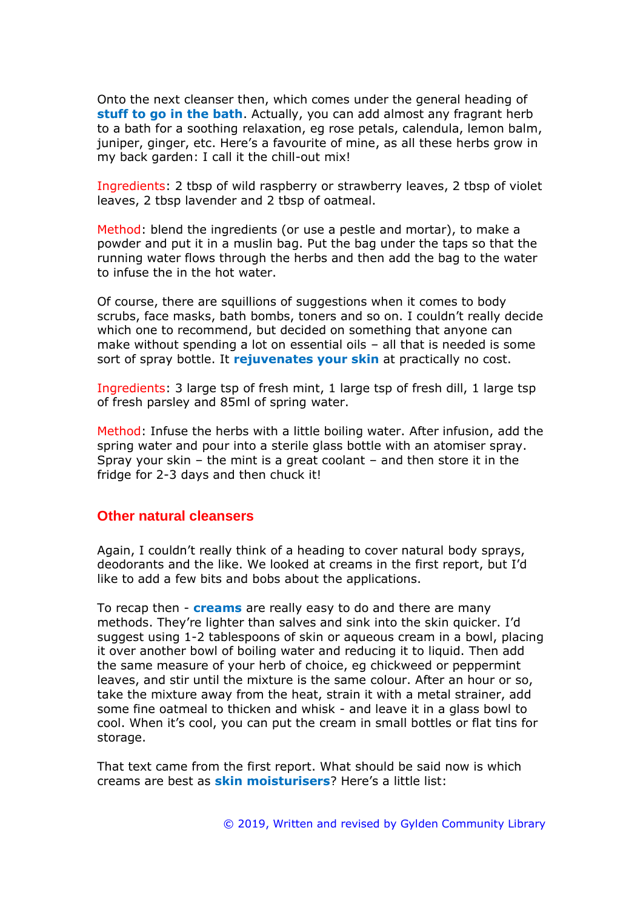Onto the next cleanser then, which comes under the general heading of **stuff to go in the bath**. Actually, you can add almost any fragrant herb to a bath for a soothing relaxation, eg rose petals, calendula, lemon balm, juniper, ginger, etc. Here's a favourite of mine, as all these herbs grow in my back garden: I call it the chill-out mix!

Ingredients: 2 tbsp of wild raspberry or strawberry leaves, 2 tbsp of violet leaves, 2 tbsp lavender and 2 tbsp of oatmeal.

Method: blend the ingredients (or use a pestle and mortar), to make a powder and put it in a muslin bag. Put the bag under the taps so that the running water flows through the herbs and then add the bag to the water to infuse the in the hot water.

Of course, there are squillions of suggestions when it comes to body scrubs, face masks, bath bombs, toners and so on. I couldn't really decide which one to recommend, but decided on something that anyone can make without spending a lot on essential oils – all that is needed is some sort of spray bottle. It **rejuvenates your skin** at practically no cost.

Ingredients: 3 large tsp of fresh mint, 1 large tsp of fresh dill, 1 large tsp of fresh parsley and 85ml of spring water.

Method: Infuse the herbs with a little boiling water. After infusion, add the spring water and pour into a sterile glass bottle with an atomiser spray. Spray your skin – the mint is a great coolant – and then store it in the fridge for 2-3 days and then chuck it!

#### **Other natural cleansers**

Again, I couldn't really think of a heading to cover natural body sprays, deodorants and the like. We looked at creams in the first report, but I'd like to add a few bits and bobs about the applications.

To recap then - **creams** are really easy to do and there are many methods. They're lighter than salves and sink into the skin quicker. I'd suggest using 1-2 tablespoons of skin or aqueous cream in a bowl, placing it over another bowl of boiling water and reducing it to liquid. Then add the same measure of your herb of choice, eg chickweed or peppermint leaves, and stir until the mixture is the same colour. After an hour or so, take the mixture away from the heat, strain it with a metal strainer, add some fine oatmeal to thicken and whisk - and leave it in a glass bowl to cool. When it's cool, you can put the cream in small bottles or flat tins for storage.

That text came from the first report. What should be said now is which creams are best as **skin moisturisers**? Here's a little list: